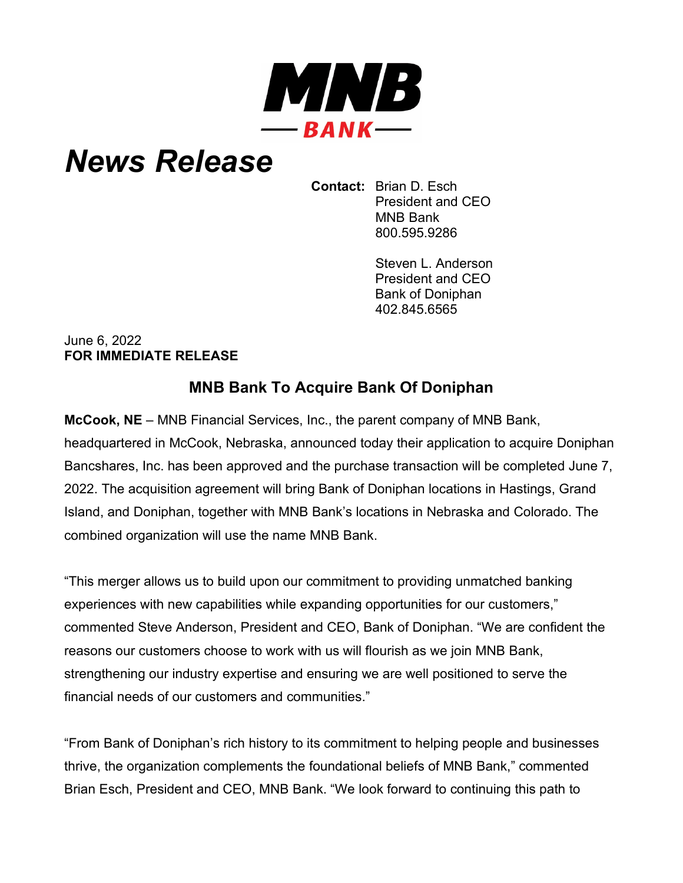

## *News Release*

**Contact:** Brian D. Esch President and CEO MNB Bank 800.595.9286

> Steven L. Anderson President and CEO Bank of Doniphan 402.845.6565

## June 6, 2022 **FOR IMMEDIATE RELEASE**

## **MNB Bank To Acquire Bank Of Doniphan**

**McCook, NE** – MNB Financial Services, Inc., the parent company of MNB Bank, headquartered in McCook, Nebraska, announced today their application to acquire Doniphan Bancshares, Inc. has been approved and the purchase transaction will be completed June 7, 2022. The acquisition agreement will bring Bank of Doniphan locations in Hastings, Grand Island, and Doniphan, together with MNB Bank's locations in Nebraska and Colorado. The combined organization will use the name MNB Bank.

"This merger allows us to build upon our commitment to providing unmatched banking experiences with new capabilities while expanding opportunities for our customers," commented Steve Anderson, President and CEO, Bank of Doniphan. "We are confident the reasons our customers choose to work with us will flourish as we join MNB Bank, strengthening our industry expertise and ensuring we are well positioned to serve the financial needs of our customers and communities."

"From Bank of Doniphan's rich history to its commitment to helping people and businesses thrive, the organization complements the foundational beliefs of MNB Bank," commented Brian Esch, President and CEO, MNB Bank. "We look forward to continuing this path to